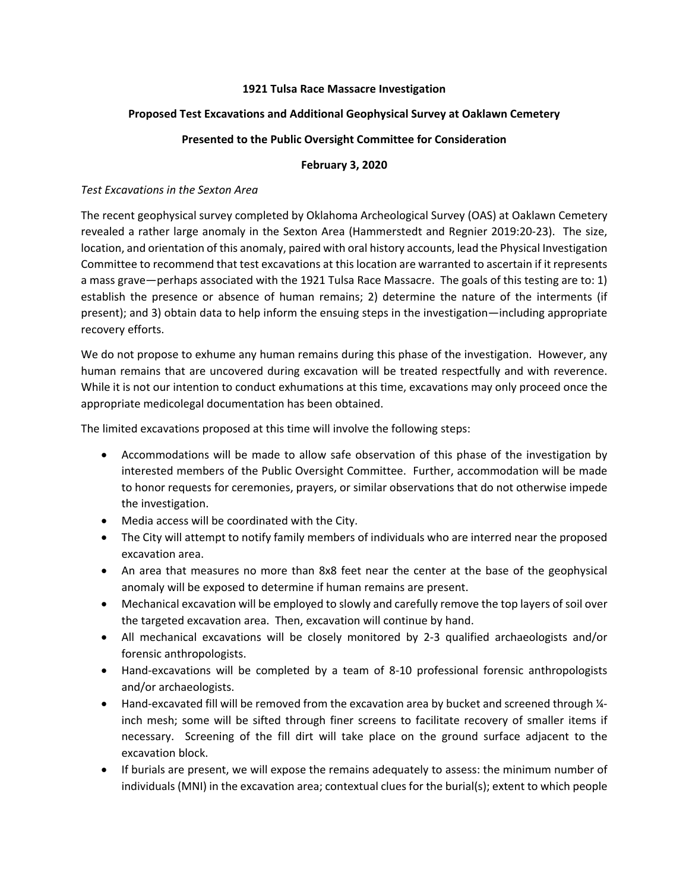### **1921 Tulsa Race Massacre Investigation**

## **Proposed Test Excavations and Additional Geophysical Survey at Oaklawn Cemetery**

## **Presented to the Public Oversight Committee for Consideration**

### **February 3, 2020**

#### *Test Excavations in the Sexton Area*

The recent geophysical survey completed by Oklahoma Archeological Survey (OAS) at Oaklawn Cemetery revealed a rather large anomaly in the Sexton Area (Hammerstedt and Regnier 2019:20‐23). The size, location, and orientation of this anomaly, paired with oral history accounts, lead the Physical Investigation Committee to recommend that test excavations at this location are warranted to ascertain if it represents a mass grave—perhaps associated with the 1921 Tulsa Race Massacre. The goals of this testing are to: 1) establish the presence or absence of human remains; 2) determine the nature of the interments (if present); and 3) obtain data to help inform the ensuing steps in the investigation—including appropriate recovery efforts.

We do not propose to exhume any human remains during this phase of the investigation. However, any human remains that are uncovered during excavation will be treated respectfully and with reverence. While it is not our intention to conduct exhumations at this time, excavations may only proceed once the appropriate medicolegal documentation has been obtained.

The limited excavations proposed at this time will involve the following steps:

- Accommodations will be made to allow safe observation of this phase of the investigation by interested members of the Public Oversight Committee. Further, accommodation will be made to honor requests for ceremonies, prayers, or similar observations that do not otherwise impede the investigation.
- Media access will be coordinated with the City.
- The City will attempt to notify family members of individuals who are interred near the proposed excavation area.
- An area that measures no more than 8x8 feet near the center at the base of the geophysical anomaly will be exposed to determine if human remains are present.
- Mechanical excavation will be employed to slowly and carefully remove the top layers of soil over the targeted excavation area. Then, excavation will continue by hand.
- All mechanical excavations will be closely monitored by 2‐3 qualified archaeologists and/or forensic anthropologists.
- Hand-excavations will be completed by a team of 8-10 professional forensic anthropologists and/or archaeologists.
- Hand-excavated fill will be removed from the excavation area by bucket and screened through 1/4inch mesh; some will be sifted through finer screens to facilitate recovery of smaller items if necessary. Screening of the fill dirt will take place on the ground surface adjacent to the excavation block.
- If burials are present, we will expose the remains adequately to assess: the minimum number of individuals (MNI) in the excavation area; contextual clues for the burial(s); extent to which people